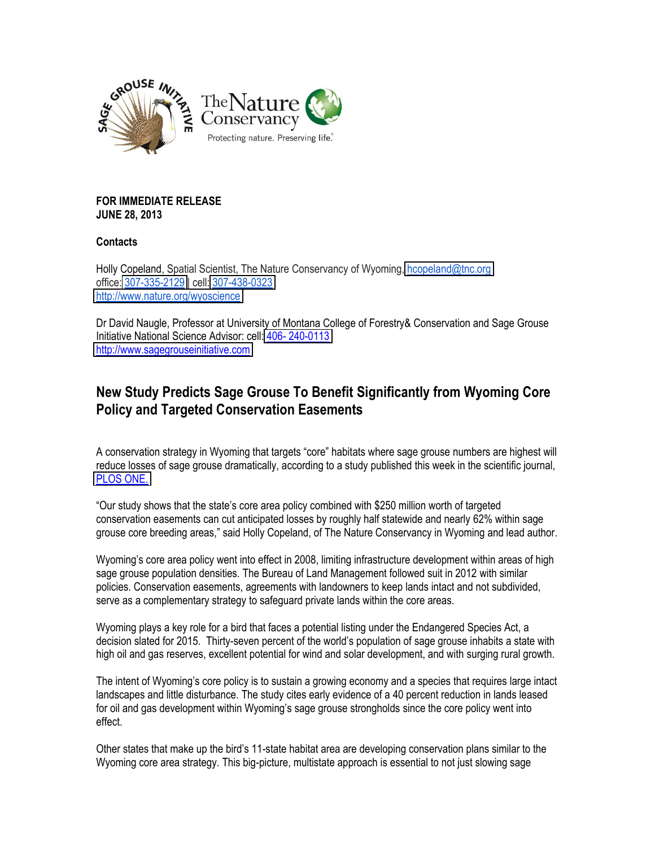

## **FOR IMMEDIATE RELEASE JUNE 28, 2013**

## **Contacts**

Holly Copeland, Spatial Scientist, The Nature Conservancy of Wyoming, hcopeland@tnc.org office: 307-335-2129 | cell: 307-438-0323 <http://www.nature.org/wyoscience>

Dr David Naugle, Professor at University of Montana College of Forestry& Conservation and Sage Grouse Initiative National Science Advisor: cell: 406-240-0113 [http://www.sagegrouseinitiative.com](http://www.sagegrouseinitiative.com/)

## **New Study Predicts Sage Grouse To Benefit Significantly from Wyoming Core Policy and Targeted Conservation Easements**

A conservation strategy in Wyoming that targets "core" habitats where sage grouse numbers are highest will reduce losses of sage grouse dramatically, according to a study published this week in the scientific journal, PLOS ONE.

"Our study shows that the state's core area policy combined with \$250 million worth of targeted conservation easements can cut anticipated losses by roughly half statewide and nearly 62% within sage grouse core breeding areas," said Holly Copeland, of The Nature Conservancy in Wyoming and lead author.

Wyoming's core area policy went into effect in 2008, limiting infrastructure development within areas of high sage grouse population densities. The Bureau of Land Management followed suit in 2012 with similar policies. Conservation easements, agreements with landowners to keep lands intact and not subdivided, serve as a complementary strategy to safeguard private lands within the core areas.

Wyoming plays a key role for a bird that faces a potential listing under the Endangered Species Act, a decision slated for 2015. Thirty-seven percent of the world's population of sage grouse inhabits a state with high oil and gas reserves, excellent potential for wind and solar development, and with surging rural growth.

The intent of Wyoming's core policy is to sustain a growing economy and a species that requires large intact landscapes and little disturbance. The study cites early evidence of a 40 percent reduction in lands leased for oil and gas development within Wyoming's sage grouse strongholds since the core policy went into effect.

Other states that make up the bird's 11-state habitat area are developing conservation plans similar to the Wyoming core area strategy. This big-picture, multistate approach is essential to not just slowing sage